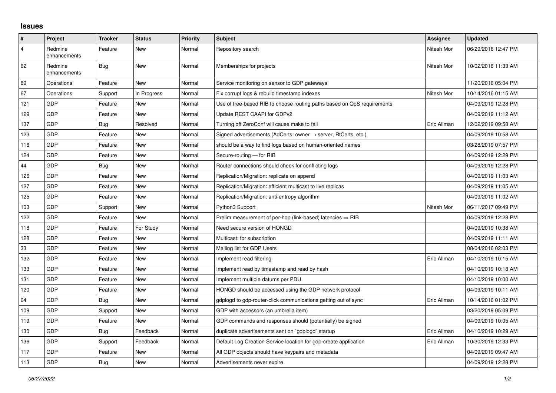## **Issues**

| $\vert$ #      | Project                 | <b>Tracker</b> | <b>Status</b> | <b>Priority</b> | <b>Subject</b>                                                             | Assignee    | <b>Updated</b>      |
|----------------|-------------------------|----------------|---------------|-----------------|----------------------------------------------------------------------------|-------------|---------------------|
| $\overline{4}$ | Redmine<br>enhancements | Feature        | <b>New</b>    | Normal          | Repository search                                                          | Nitesh Mor  | 06/29/2016 12:47 PM |
| 62             | Redmine<br>enhancements | <b>Bug</b>     | <b>New</b>    | Normal          | Memberships for projects                                                   | Nitesh Mor  | 10/02/2016 11:33 AM |
| 89             | Operations              | Feature        | <b>New</b>    | Normal          | Service monitoring on sensor to GDP gateways                               |             | 11/20/2016 05:04 PM |
| 67             | Operations              | Support        | In Progress   | Normal          | Fix corrupt logs & rebuild timestamp indexes                               | Nitesh Mor  | 10/14/2016 01:15 AM |
| 121            | GDP                     | Feature        | <b>New</b>    | Normal          | Use of tree-based RIB to choose routing paths based on QoS requirements    |             | 04/09/2019 12:28 PM |
| 129            | GDP                     | Feature        | <b>New</b>    | Normal          | Update REST CAAPI for GDPv2                                                |             | 04/09/2019 11:12 AM |
| 137            | GDP                     | Bug            | Resolved      | Normal          | Turning off ZeroConf will cause make to fail                               | Eric Allman | 12/02/2019 09:58 AM |
| 123            | <b>GDP</b>              | Feature        | <b>New</b>    | Normal          | Signed advertisements (AdCerts: owner $\rightarrow$ server, RtCerts, etc.) |             | 04/09/2019 10:58 AM |
| 116            | GDP                     | Feature        | <b>New</b>    | Normal          | should be a way to find logs based on human-oriented names                 |             | 03/28/2019 07:57 PM |
| 124            | <b>GDP</b>              | Feature        | <b>New</b>    | Normal          | Secure-routing - for RIB                                                   |             | 04/09/2019 12:29 PM |
| 44             | <b>GDP</b>              | Bug            | <b>New</b>    | Normal          | Router connections should check for conflicting logs                       |             | 04/09/2019 12:28 PM |
| 126            | GDP                     | Feature        | <b>New</b>    | Normal          | Replication/Migration: replicate on append                                 |             | 04/09/2019 11:03 AM |
| 127            | <b>GDP</b>              | Feature        | <b>New</b>    | Normal          | Replication/Migration: efficient multicast to live replicas                |             | 04/09/2019 11:05 AM |
| 125            | <b>GDP</b>              | Feature        | <b>New</b>    | Normal          | Replication/Migration: anti-entropy algorithm                              |             | 04/09/2019 11:02 AM |
| 103            | GDP                     | Support        | <b>New</b>    | Normal          | Python3 Support                                                            | Nitesh Mor  | 06/11/2017 09:49 PM |
| 122            | <b>GDP</b>              | Feature        | <b>New</b>    | Normal          | Prelim measurement of per-hop (link-based) latencies $\Rightarrow$ RIB     |             | 04/09/2019 12:28 PM |
| 118            | GDP                     | Feature        | For Study     | Normal          | Need secure version of HONGD                                               |             | 04/09/2019 10:38 AM |
| 128            | <b>GDP</b>              | Feature        | <b>New</b>    | Normal          | Multicast: for subscription                                                |             | 04/09/2019 11:11 AM |
| 33             | <b>GDP</b>              | Feature        | New           | Normal          | Mailing list for GDP Users                                                 |             | 08/04/2016 02:03 PM |
| 132            | GDP                     | Feature        | <b>New</b>    | Normal          | Implement read filtering                                                   | Eric Allman | 04/10/2019 10:15 AM |
| 133            | <b>GDP</b>              | Feature        | <b>New</b>    | Normal          | Implement read by timestamp and read by hash                               |             | 04/10/2019 10:18 AM |
| 131            | <b>GDP</b>              | Feature        | New           | Normal          | Implement multiple datums per PDU                                          |             | 04/10/2019 10:00 AM |
| 120            | GDP                     | Feature        | <b>New</b>    | Normal          | HONGD should be accessed using the GDP network protocol                    |             | 04/09/2019 10:11 AM |
| 64             | <b>GDP</b>              | <b>Bug</b>     | <b>New</b>    | Normal          | gdplogd to gdp-router-click communications getting out of sync             | Eric Allman | 10/14/2016 01:02 PM |
| 109            | <b>GDP</b>              | Support        | <b>New</b>    | Normal          | GDP with accessors (an umbrella item)                                      |             | 03/20/2019 05:09 PM |
| 119            | GDP                     | Feature        | <b>New</b>    | Normal          | GDP commands and responses should (potentially) be signed                  |             | 04/09/2019 10:05 AM |
| 130            | <b>GDP</b>              | <b>Bug</b>     | Feedback      | Normal          | duplicate advertisements sent on `gdplogd` startup                         | Eric Allman | 04/10/2019 10:29 AM |
| 136            | GDP                     | Support        | Feedback      | Normal          | Default Log Creation Service location for gdp-create application           | Eric Allman | 10/30/2019 12:33 PM |
| 117            | GDP                     | Feature        | <b>New</b>    | Normal          | All GDP objects should have keypairs and metadata                          |             | 04/09/2019 09:47 AM |
| 113            | <b>GDP</b>              | <b>Bug</b>     | <b>New</b>    | Normal          | Advertisements never expire                                                |             | 04/09/2019 12:28 PM |